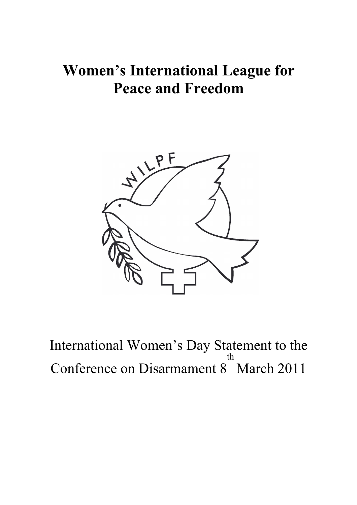## **Women's International League for Peace and Freedom**



International Women's Day Statement to the Conference on Disarmament 8 th March 2011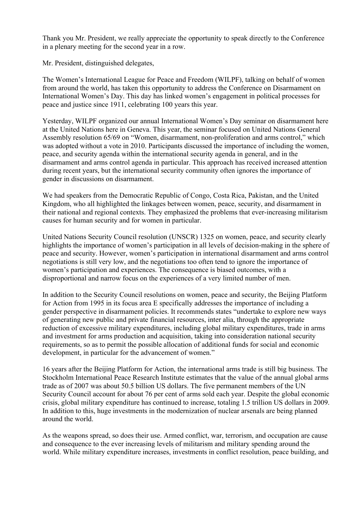Thank you Mr. President, we really appreciate the opportunity to speak directly to the Conference in a plenary meeting for the second year in a row.

Mr. President, distinguished delegates,

The Women's International League for Peace and Freedom (WILPF), talking on behalf of women from around the world, has taken this opportunity to address the Conference on Disarmament on International Women's Day. This day has linked women's engagement in political processes for peace and justice since 1911, celebrating 100 years this year.

Yesterday, WILPF organized our annual International Women's Day seminar on disarmament here at the United Nations here in Geneva. This year, the seminar focused on United Nations General Assembly resolution 65/69 on "Women, disarmament, non-proliferation and arms control," which was adopted without a vote in 2010. Participants discussed the importance of including the women, peace, and security agenda within the international security agenda in general, and in the disarmament and arms control agenda in particular. This approach has received increased attention during recent years, but the international security community often ignores the importance of gender in discussions on disarmament.

We had speakers from the Democratic Republic of Congo, Costa Rica, Pakistan, and the United Kingdom, who all highlighted the linkages between women, peace, security, and disarmament in their national and regional contexts. They emphasized the problems that ever-increasing militarism causes for human security and for women in particular.

United Nations Security Council resolution (UNSCR) 1325 on women, peace, and security clearly highlights the importance of women's participation in all levels of decision-making in the sphere of peace and security. However, women's participation in international disarmament and arms control negotiations is still very low, and the negotiations too often tend to ignore the importance of women's participation and experiences. The consequence is biased outcomes, with a disproportional and narrow focus on the experiences of a very limited number of men.

In addition to the Security Council resolutions on women, peace and security, the Beijing Platform for Action from 1995 in its focus area E specifically addresses the importance of including a gender perspective in disarmament policies. It recommends states "undertake to explore new ways of generating new public and private financial resources, inter alia, through the appropriate reduction of excessive military expenditures, including global military expenditures, trade in arms and investment for arms production and acquisition, taking into consideration national security requirements, so as to permit the possible allocation of additional funds for social and economic development, in particular for the advancement of women."

16 years after the Beijing Platform for Action, the international arms trade is still big business. The Stockholm International Peace Research Institute estimates that the value of the annual global arms trade as of 2007 was about 50.5 billion US dollars. The five permanent members of the UN Security Council account for about 76 per cent of arms sold each year. Despite the global economic crisis, global military expenditure has continued to increase, totaling 1.5 trillion US dollars in 2009. In addition to this, huge investments in the modernization of nuclear arsenals are being planned around the world.

As the weapons spread, so does their use. Armed conflict, war, terrorism, and occupation are cause and consequence to the ever increasing levels of militarism and military spending around the world. While military expenditure increases, investments in conflict resolution, peace building, and